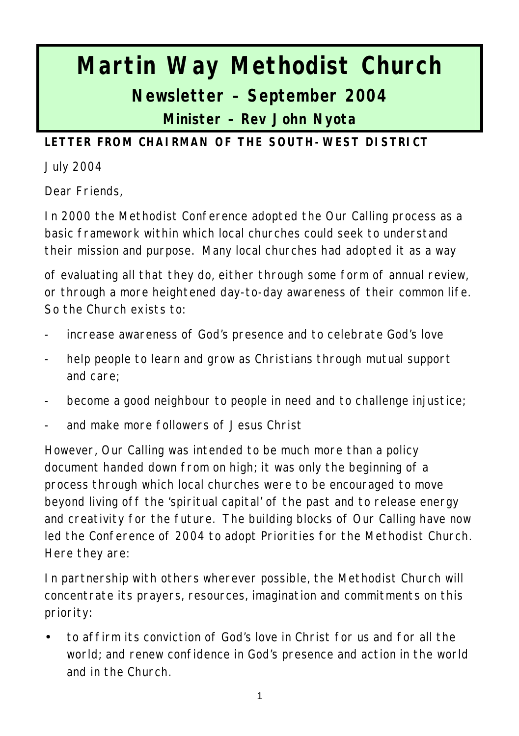# **Martin Way Methodist Church Newsletter – September 2004 Minister – Rev John Nyota**

**LETTER FROM CHAIRMAN OF THE SOUTH-WEST DISTRICT**

July 2004

Dear Friends,

In 2000 the Methodist Conference adopted the Our Calling process as a basic framework within which local churches could seek to understand their mission and purpose. Many local churches had adopted it as a way

of evaluating all that they do, either through some form of annual review, or through a more heightened day-to-day awareness of their common life. So the Church exists to:

- increase awareness of God's presence and to celebrate God's love
- help people to learn and grow as Christians through mutual support and care;
- become a good neighbour to people in need and to challenge injustice;
- and make more followers of Jesus Christ

However, Our Calling was intended to be much more than a policy document handed down from on high; it was only the beginning of a process through which local churches were to be encouraged to move beyond living off the 'spiritual capital' of the past and to release energy and creativity for the future. The building blocks of Our Calling have now led the Conference of 2004 to adopt Priorities for the Methodist Church. Here they are:

In partnership with others wherever possible, the Methodist Church will concentrate its prayers, resources, imagination and commitments on this priority:

• to affirm its conviction of God's love in Christ for us and for all the world; and renew confidence in God's presence and action in the world and in the Church.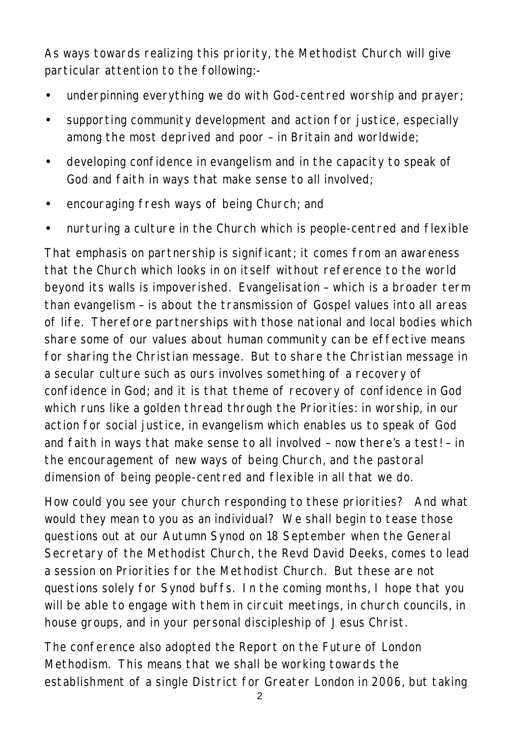As ways towards realizing this priority, the Methodist Church will give particular attention to the following:-

- underpinning everything we do with God-centred worship and prayer;
- supporting community development and action for justice, especially among the most deprived and poor – in Britain and worldwide;
- developing confidence in evangelism and in the capacity to speak of God and faith in ways that make sense to all involved;
- encouraging fresh ways of being Church; and
- nurturing a culture in the Church which is people-centred and flexible

That emphasis on partnership is significant; it comes from an awareness that the Church which looks in on itself without reference to the world beyond its walls is impoverished. Evangelisation – which is a broader term than evangelism – is about the transmission of Gospel values into all areas of life. Therefore partnerships with those national and local bodies which share some of our values about human community can be effective means for sharing the Christian message. But to share the Christian message in a secular culture such as ours involves something of a recovery of confidence in God; and it is that theme of recovery of confidence in God which runs like a golden thread through the Priorities: in worship, in our action for social justice, in evangelism which enables us to speak of God and faith in ways that make sense to all involved – now there's a test! – in the encouragement of new ways of being Church, and the pastoral dimension of being people-centred and flexible in all that we do.

How could you see your church responding to these priorities? And what would they mean to you as an individual? We shall begin to tease those questions out at our Autumn Synod on 18 September when the General Secretary of the Methodist Church, the Revd David Deeks, comes to lead a session on Priorities for the Methodist Church. But these are not questions solely for Synod buffs. In the coming months, I hope that you will be able to engage with them in circuit meetings, in church councils, in house groups, and in your personal discipleship of Jesus Christ.

The conference also adopted the Report on the Future of London Methodism. This means that we shall be working towards the establishment of a single District for Greater London in 2006, but taking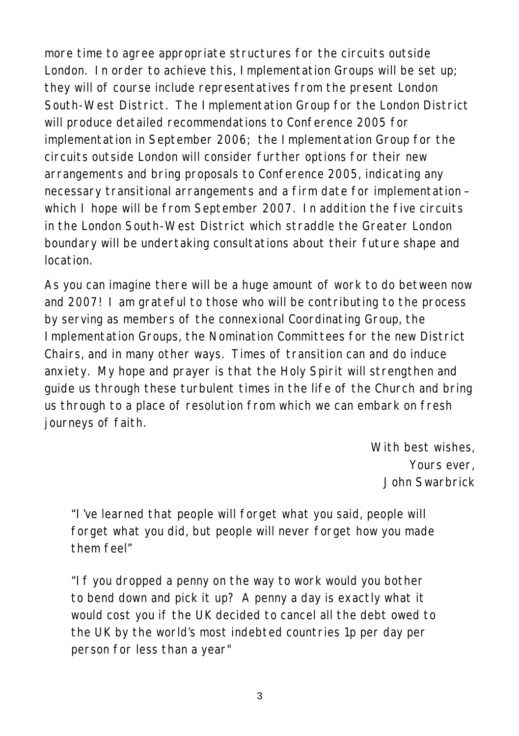more time to agree appropriate structures for the circuits outside London. In order to achieve this, Implementation Groups will be set up; they will of course include representatives from the present London South-West District. The Implementation Group for the London District will produce detailed recommendations to Conference 2005 for implementation in September 2006; the Implementation Group for the circuits outside London will consider further options for their new arrangements and bring proposals to Conference 2005, indicating any necessary transitional arrangements and a firm date for implementation – which I hope will be from September 2007. In addition the five circuits in the London South-West District which straddle the Greater London boundary will be undertaking consultations about their future shape and location.

As you can imagine there will be a huge amount of work to do between now and 2007! I am grateful to those who will be contributing to the process by serving as members of the connexional Coordinating Group, the Implementation Groups, the Nomination Committees for the new District Chairs, and in many other ways. Times of transition can and do induce anxiety. My hope and prayer is that the Holy Spirit will strengthen and guide us through these turbulent times in the life of the Church and bring us through to a place of resolution from which we can embark on fresh journeys of faith.

> *With best wishes, Yours ever, John Swarbrick*

*"I've learned that people will forget what you said, people will forget what you did, but people will never forget how you made them feel"*

*"If you dropped a penny on the way to work would you bother to bend down and pick it up? A penny a day is exactly what it would cost you if the UK decided to cancel all the debt owed to the UK by the world's most indebted countries 1p per day per person for less than a year"*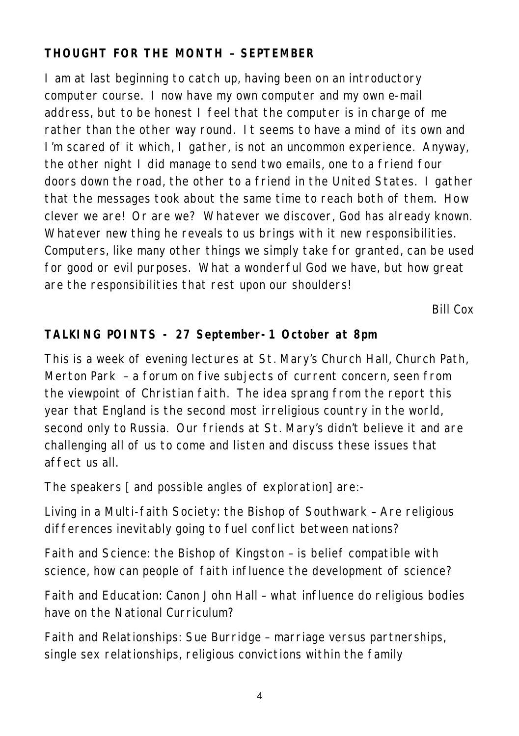## **THOUGHT FOR THE MONTH – SEPTEMBER**

I am at last beginning to catch up, having been on an introductory computer course. I now have my own computer and my own e-mail address, but to be honest I feel that the computer is in charge of me rather than the other way round. It seems to have a mind of its own and I'm scared of it which, I gather, is not an uncommon experience. Anyway, the other night I did manage to send two emails, one to a friend four doors down the road, the other to a friend in the United States. I gather that the messages took about the same time to reach both of them. How clever we are! Or are we? Whatever we discover, God has already known. Whatever new thing he reveals to us brings with it new responsibilities. Computers, like many other things we simply take for granted, can be used for good or evil purposes. What a wonderful God we have, but how great are the responsibilities that rest upon our shoulders!

*Bill Cox*

## **TALKING POINTS - 27 September-1 October at 8pm**

This is a week of evening lectures at St. Mary's Church Hall, Church Path, Merton Park – a forum on five subjects of current concern, seen from the viewpoint of Christian faith. The idea sprang from the report this year that England is the second most irreligious country in the world, second only to Russia. Our friends at St. Mary's didn't believe it and are challenging all of us to come and listen and discuss these issues that affect us all.

The speakers [ and possible angles of exploration] are:-

Living in a Multi-faith Society: the Bishop of Southwark – Are religious differences inevitably going to fuel conflict between nations?

Faith and Science: the Bishop of Kingston – is belief compatible with science, how can people of faith influence the development of science?

Faith and Education: Canon John Hall – what influence do religious bodies have on the National Curriculum?

Faith and Relationships: Sue Burridge – marriage versus partnerships, single sex relationships, religious convictions within the family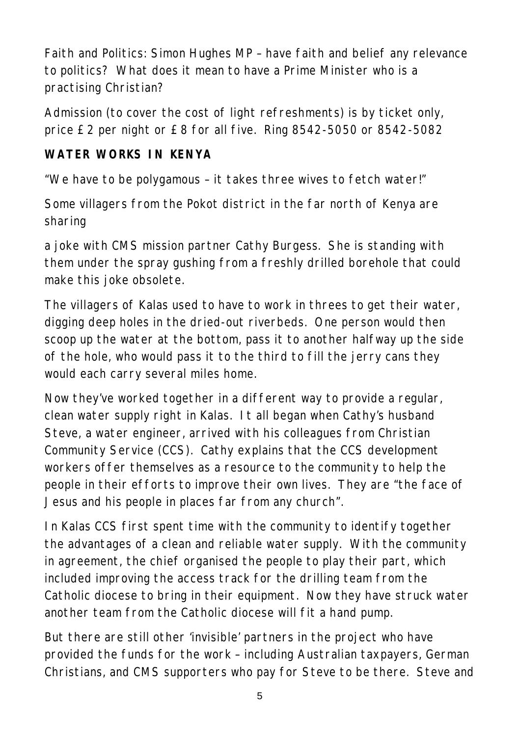Faith and Politics: Simon Hughes MP – have faith and belief any relevance to politics? What does it mean to have a Prime Minister who is a practising Christian?

Admission (to cover the cost of light refreshments) is by ticket only, price £2 per night or £8 for all five. Ring 8542-5050 or 8542-5082

#### **WATER WORKS IN KENYA**

"We have to be polygamous – it takes three wives to fetch water!"

Some villagers from the Pokot district in the far north of Kenya are sharing

a joke with CMS mission partner Cathy Burgess. She is standing with them under the spray gushing from a freshly drilled borehole that could make this joke obsolete.

The villagers of Kalas used to have to work in threes to get their water, digging deep holes in the dried-out riverbeds. One person would then scoop up the water at the bottom, pass it to another halfway up the side of the hole, who would pass it to the third to fill the jerry cans they would each carry several miles home.

Now they've worked together in a different way to provide a regular, clean water supply right in Kalas. It all began when Cathy's husband Steve, a water engineer, arrived with his colleagues from Christian Community Service (CCS). Cathy explains that the CCS development workers offer themselves as a resource to the community to help the people in their efforts to improve their own lives. They are "the face of Jesus and his people in places far from any church".

In Kalas CCS first spent time with the community to identify together the advantages of a clean and reliable water supply. With the community in agreement, the chief organised the people to play their part, which included improving the access track for the drilling team from the Catholic diocese to bring in their equipment. Now they have struck water another team from the Catholic diocese will fit a hand pump.

But there are still other 'invisible' partners in the project who have provided the funds for the work – including Australian taxpayers, German Christians, and CMS supporters who pay for Steve to be there. Steve and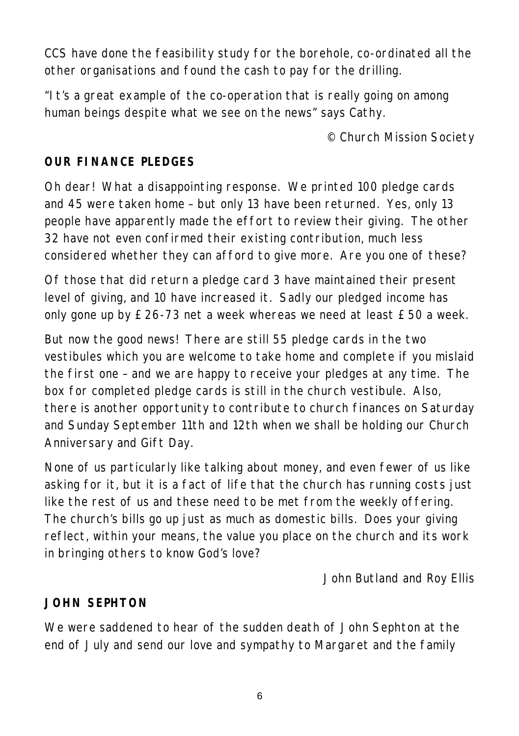CCS have done the feasibility study for the borehole, co-ordinated all the other organisations and found the cash to pay for the drilling.

"It's a great example of the co-operation that is really going on among human beings despite what we see on the news" says Cathy.

*© Church Mission Society*

#### **OUR FINANCE PLEDGES**

Oh dear! What a disappointing response. We printed 100 pledge cards and 45 were taken home – but only 13 have been returned. Yes, only 13 people have apparently made the effort to review their giving. The other 32 have not even confirmed their existing contribution, much less considered whether they can afford to give more. Are you one of these?

Of those that did return a pledge card 3 have maintained their present level of giving, and 10 have increased it. Sadly our pledged income has only gone up by £26-73 net a week whereas we need at least £50 a week.

But now the good news! There are still 55 pledge cards in the two vestibules which you are welcome to take home and complete if you mislaid the first one – and we are happy to receive your pledges at any time. The box for completed pledge cards is still in the church vestibule. Also, there is another opportunity to contribute to church finances on Saturday and Sunday September 11th and 12th when we shall be holding our Church Anniversary and Gift Day.

None of us particularly like talking about money, and even fewer of us like asking for it, but it is a fact of life that the church has running costs just like the rest of us and these need to be met from the weekly offering. The church's bills go up just as much as domestic bills. Does your giving reflect, within your means, the value you place on the church and its work in bringing others to know God's love?

*John Butland and Roy Ellis*

#### **JOHN SEPHTON**

We were saddened to hear of the sudden death of John Sephton at the end of July and send our love and sympathy to Margaret and the family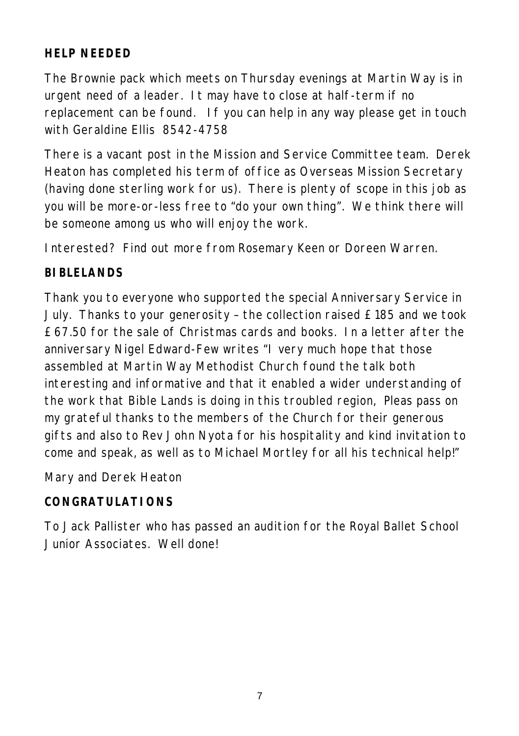## **HELP NEEDED**

The Brownie pack which meets on Thursday evenings at Martin Way is in urgent need of a leader. It may have to close at half-term if no replacement can be found. If you can help in any way please get in touch with Geraldine Ellis 8542-4758

There is a vacant post in the Mission and Service Committee team. Derek Heaton has completed his term of office as Overseas Mission Secretary (having done sterling work for us). There is plenty of scope in this job as you will be more-or-less free to "do your own thing". We think there will be someone among us who will enjoy the work.

Interested? Find out more from Rosemary Keen or Doreen Warren.

#### **BIBLELANDS**

Thank you to everyone who supported the special Anniversary Service in July. Thanks to your generosity – the collection raised £185 and we took £67.50 for the sale of Christmas cards and books. In a letter after the anniversary Nigel Edward-Few writes "I very much hope that those assembled at Martin Way Methodist Church found the talk both interesting and informative and that it enabled a wider understanding of the work that Bible Lands is doing in this troubled region, Pleas pass on my grateful thanks to the members of the Church for their generous gifts and also to Rev John Nyota for his hospitality and kind invitation to come and speak, as well as to Michael Mortley for all his technical help!"

Mary and Derek Heaton

#### **CONGRATULATIONS**

To Jack Pallister who has passed an audition for the Royal Ballet School Junior Associates. Well done!